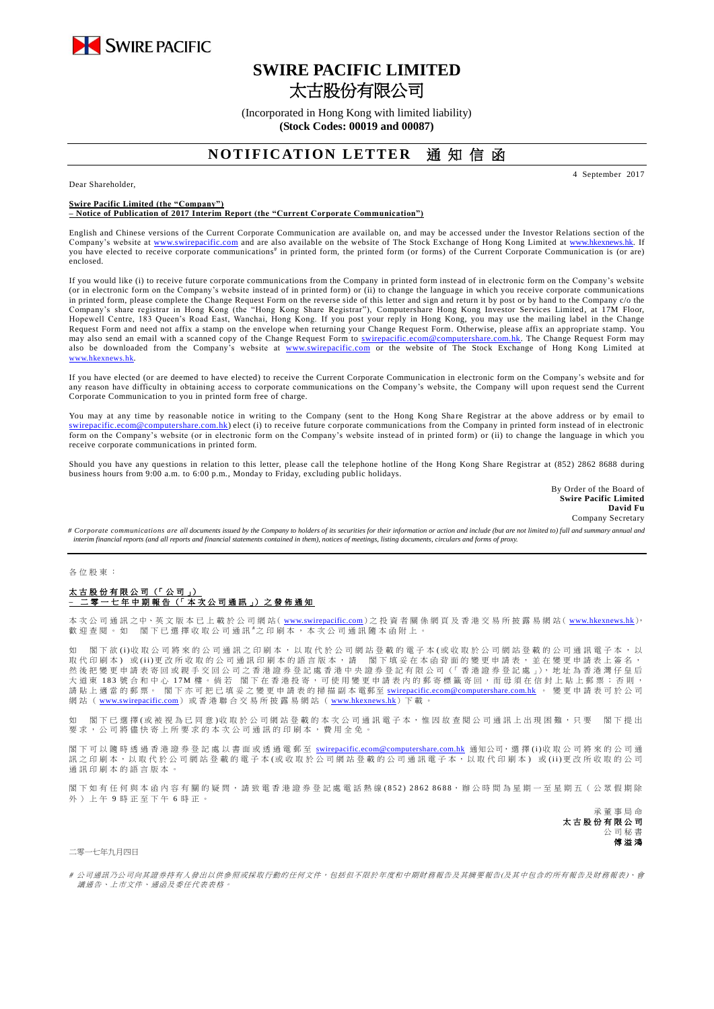

# **SWIRE PACIFIC LIMITED** 太古股份有限公司

(Incorporated in Hong Kong with limited liability) **(Stock Codes: 00019 and 00087)**

### **NOTIFICATION LETTER** 诵 知 信 函

Dear Shareholder,

**Swire Pacific Limited (the "Company")**

#### **– Notice of Publication of 2017 Interim Report (the "Current Corporate Communication")**

English and Chinese versions of the Current Corporate Communication are available on, and may be accessed under the Investor Relations section of the Company's website at [www.swirepacific.com](http://www.swirepacific.com/) and are also available on the website of The Stock Exchange of Hong Kong Limited at [www.hkexnews.hk.](http://www.hkexnews.hk/) If you have elected to receive corporate communications<sup>#</sup> in printed form, the printed form (or forms) of the Current Corporate Communication is (or are) enclosed.

If you would like (i) to receive future corporate communications from the Company in printed form instead of in electronic form on the Company's website (or in electronic form on the Company's website instead of in printed form) or (ii) to change the language in which you receive corporate communications in printed form, please complete the Change Request Form on the reverse side of this letter and sign and return it by post or by hand to the Company c/o the Company's share registrar in Hong Kong (the "Hong Kong Share Registrar"), Computershare Hong Kong Investor Services Limited, at 17M Floor, Hopewell Centre, 183 Queen's Road East, Wanchai, Hong Kong. If you post your reply in Hong Kong, you may use the mailing label in the Change Request Form and need not affix a stamp on the envelope when returning your Change Request Form. Otherwise, please affix an appropriate stamp. You may also send an email with a scanned copy of the Change Request Form to [swirepacific.ecom@computershare.com.hk.](mailto:swirepacific.ecom@computershare.com.hk) The Change Request Form may also be downloaded from the Company's website at [www.swirepacific.com](http://www.swirepacific.com/) or the website of The Stock Exchange of Hong Kong Limited at [www.hkexnews.hk](http://www.hkexnews.hk/).

If you have elected (or are deemed to have elected) to receive the Current Corporate Communication in electronic form on the Company's website and for any reason have difficulty in obtaining access to corporate communications on the Company's website, the Company will upon request send the Current Corporate Communication to you in printed form free of charge.

You may at any time by reasonable notice in writing to the Company (sent to the Hong Kong Share Registrar at the above address or by email to [swirepacific.ecom@computershare.com.hk\)](mailto:swirepacific.ecom@computershare.com.hk) elect (i) to receive future corporate communications from the Company in printed form instead of in electronic form on the Company's website (or in electronic form on the Company's website instead of in printed form) or (ii) to change the language in which you receive corporate communications in printed form.

Should you have any questions in relation to this letter, please call the telephone hotline of the Hong Kong Share Registrar at (852) 2862 8688 during business hours from 9:00 a.m. to 6:00 p.m., Monday to Friday, excluding public holidays.

> By Order of the Board of **Swire Pacific Limited David Fu** Company Secretary

4 September 2017

# Corporate communications are all documents issued by the Company to holders of its securities for their information or action and include (but are not limited to) full and summary annual a *interim financial reports (and all reports and financial statements contained in them), notices of meetings, listing documents, circulars and forms of proxy.*

各 位 股 東 :

### 太古股份有限公司 (「公司」) ————————————————————<br><sup>:</sup>零一七年中期報告(「本次公司通訊」)之發佈通知

本 次 公 司 通 訊 之中、英 文 版 本 已 上 載 於 公 司 網 站 ( <u>[www.swirepacific.com](http://www.swirepacific.com/)</u> ) 之 投 資 者 關 係 網 頁 及 香 港 交 易 所 披 露 易 網 站 ( <u>[www.hkexnews.hk](http://www.hkexnews.hk/)</u> ),<br>歡 迎 查 閱 。 如 閣 下 已 選 擇 收 取 公 司 通 訊 <sup>#</sup>之 印 刷 本 , 本 次 公 司 通 訊 隨 本 函 附 上 。

如 閣下 欲 (i)收 取 公 司將 來 的 公 司 通 訊 之 印 刷 本 , 以 取 代 於 公 司 網 站 登 載 的 盛 可 網 功 公 司 網 站 登 載 的 公 司 通 訊 電 子 本 , 以 取代印刷本)或(ii)更改所收取的公司通訊印刷本的語言版本, 請 閣下填妥在本函背面的變更申請表,並在變更申請表上簽名, 然 後 把 變 更 申 請 表 寄 回 或親手交回 公 司 之 香 港 證 券 登 記 處 香 港 中 央 證 券 登 記 有 限 公 司 (「 香 港 證 券 登 記 處 」), 地 址 為 香 港 灣 仔 皇 后 へはに、「また、「また、「また」」とは、「また、「また、「また」といい、「いい」という。<br>大道東 183 號合和中心 17M 樓。倘若 閣下在香港投寄,可使用變更申請表内的郵寄標籤寄回,而毋須在信封上貼上郵票;否則, 請 貼 上 適 當 的 郵 票。 閣下亦可把已填妥之變更申請表 的掃描副本 電郵至 [swirepacific.ecom@computershare.com.hk](mailto:swirepacific.ecom@computershare.com.hk) 。 變 更 申請表可於 公 司 網站([www.swirepacific.com](http://www.swirepacific.com/))或香港聯合交易所披露易網站([www.hkexnews.hk](http://www.hkexnews.hk/))下載

如 閣下已選擇(或被視為已同意)收取於公司網站登載的本次公司通訊電子本,惟因故查閱公司通訊上出現困難,只要 閣下提出 要求, 公司將儘 快 寄 上 所 要 求 的 本 次 公 司 通 訊 的 印 刷 本 , 費 用 全 免 。

閣下可以 隨時 透 過 香 港 證 券 登 記 處 以 書 面 或 透 過 電 郵 至 [swirepacific.ecom@computershare.com.hk](mailto:swirepacific.ecom@computershare.com.hk) 通知公司, 選 擇 (i)收 取 公 司 將 來 的 公 司 通 訊之 印 刷 本, 以 取 代 於 公 司 網 站 登 載 的 電 子 本 ( 或 收 取 於 公 司 網 站 登 載 的 公 司 通 訊 電 子 本, 以 取 代 印 刷 本) 或 ( ii )更 改 所 收 取 的 公 司 通訊印刷本的語言版本。

閣下如 有任何 與 本 函 內 容 有 關 的 疑 問 , 請致電 香 港 證 券 登 記 處 電話熱線 ( 8 5 2 ) 2 8 6 2 8 6 8 8, 辦 公 時 間 為 星 期 一 至 星 期 五 ( 公 眾 假 期 除 外)上午9時正至下午6時正。

> 承董事 局 命 太古股份有限公司 公司秘 傅溢鴻

二零一七年九月四日

# 公司通訊乃公司向其證券持有人發出以供參照或採取行動的任何文件,包括但不限於年度和中期財務報告及其摘要報告(及其中包含的所有報告及財務報表)、會 議通告、上市文件、通函及委任代表表格。